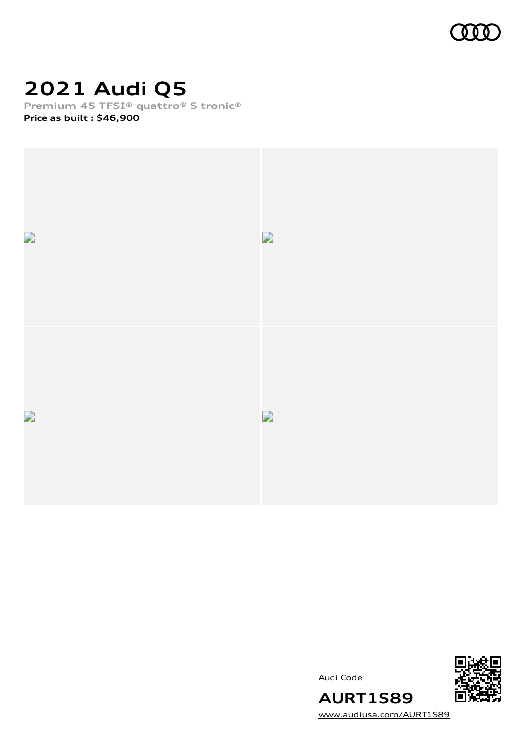

## **2021 Audi Q5**

**Premium 45 TFSI® quattro® S tronic®**

**Price as built [:](#page-10-0) \$46,900**



Audi Code



[www.audiusa.com/AURT1S89](https://www.audiusa.com/AURT1S89)

**AURT1S89**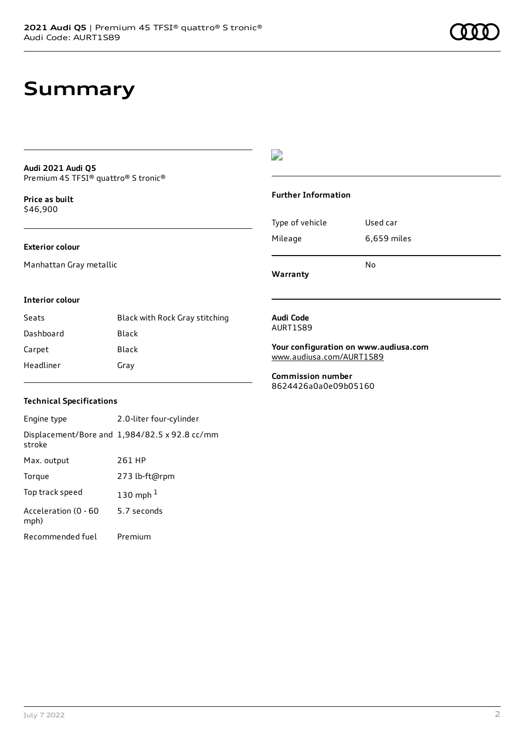### **Audi 2021 Audi Q5** Premium 45 TFSI® quattro® S tronic®

**Price as buil[t](#page-10-0)** \$46,900

### **Exterior colour**

Manhattan Gray metallic

## $\overline{\phantom{a}}$

### **Further Information**

|                 | N٥          |
|-----------------|-------------|
| Mileage         | 6,659 miles |
| Type of vehicle | Used car    |

**Warranty**

### **Interior colour**

| Seats     | Black with Rock Gray stitching |
|-----------|--------------------------------|
| Dashboard | Black                          |
| Carpet    | Black                          |
| Headliner | Gray                           |

### **Audi Code** AURT1S89

**Your configuration on www.audiusa.com** [www.audiusa.com/AURT1S89](https://www.audiusa.com/AURT1S89)

**Commission number** 8624426a0a0e09b05160

### **Technical Specifications**

| Engine type                  | 2.0-liter four-cylinder                       |
|------------------------------|-----------------------------------------------|
| stroke                       | Displacement/Bore and 1,984/82.5 x 92.8 cc/mm |
| Max. output                  | 261 HP                                        |
| Torque                       | 273 lb-ft@rpm                                 |
| Top track speed              | 130 mph $1$                                   |
| Acceleration (0 - 60<br>mph) | 5.7 seconds                                   |
| Recommended fuel             | Premium                                       |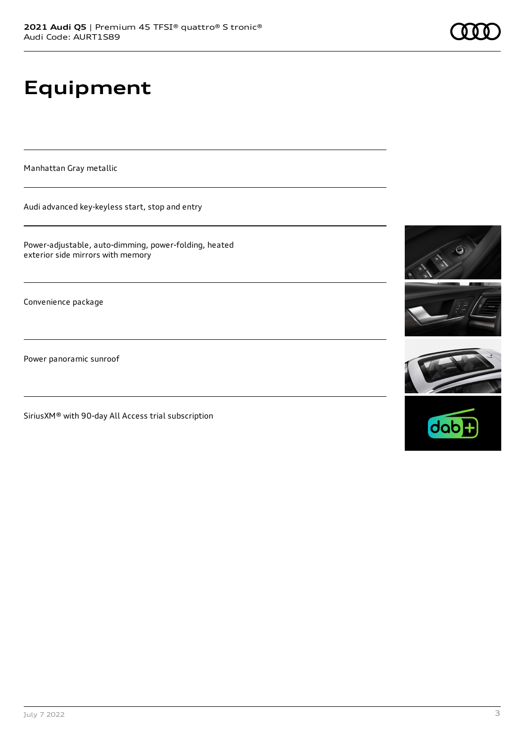# **Equipment**

Manhattan Gray metallic

Audi advanced key-keyless start, stop and entry

Power-adjustable, auto-dimming, power-folding, heated exterior side mirrors with memory

Convenience package

Power panoramic sunroof

SiriusXM® with 90-day All Access trial subscription







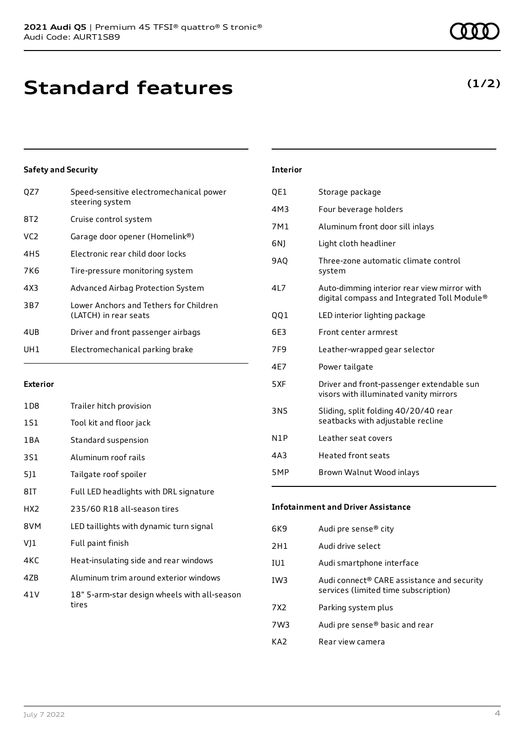## **Standard features**

## **Safety and Security**

| OZ7             | Speed-sensitive electromechanical power<br>steering system      |
|-----------------|-----------------------------------------------------------------|
| 8T2             | Cruise control system                                           |
| VC2             | Garage door opener (Homelink®)                                  |
| 4H <sub>5</sub> | Electronic rear child door locks                                |
| 7K6             | Tire-pressure monitoring system                                 |
| 4X3             | Advanced Airbag Protection System                               |
| 3B7             | Lower Anchors and Tethers for Children<br>(LATCH) in rear seats |
| 4UB             | Driver and front passenger airbags                              |
| UH1             | Electromechanical parking brake                                 |
|                 |                                                                 |

### **Exterior**

| 1D8   | Trailer hitch provision                               |
|-------|-------------------------------------------------------|
| 1S1   | Tool kit and floor jack                               |
| 1 B A | Standard suspension                                   |
| 3S1   | Aluminum roof rails                                   |
| 5]1   | Tailgate roof spoiler                                 |
| 8IT   | Full LED headlights with DRL signature                |
| HX2   | 235/60 R18 all-season tires                           |
| 8VM   | LED taillights with dynamic turn signal               |
| VJ1   | Full paint finish                                     |
| 4KC   | Heat-insulating side and rear windows                 |
| 4ZB   | Aluminum trim around exterior windows                 |
| 41 V  | 18" 5-arm-star design wheels with all-season<br>tires |

## **Interior**

| QE1        | Storage package                                                                            |
|------------|--------------------------------------------------------------------------------------------|
| 4M3        | Four beverage holders                                                                      |
| 7M1        | Aluminum front door sill inlays                                                            |
| 6NJ        | Light cloth headliner                                                                      |
| <b>9AQ</b> | Three-zone automatic climate control<br>system                                             |
| 4L7        | Auto-dimming interior rear view mirror with<br>digital compass and Integrated Toll Module® |
| QQ1        | LED interior lighting package                                                              |
| 6E3        | Front center armrest                                                                       |
| 7F9        | Leather-wrapped gear selector                                                              |
| 4E7        | Power tailgate                                                                             |
| 5XF        | Driver and front-passenger extendable sun<br>visors with illuminated vanity mirrors        |
| 3NS        | Sliding, split folding 40/20/40 rear<br>seatbacks with adjustable recline                  |
| N1P        | Leather seat covers                                                                        |
| 4A3        | <b>Heated front seats</b>                                                                  |
| 5MP        | Brown Walnut Wood inlays                                                                   |

## **Infotainment and Driver Assistance**

| 6K9             | Audi pre sense® city                                                               |
|-----------------|------------------------------------------------------------------------------------|
| 2H1             | Audi drive select                                                                  |
| IU1             | Audi smartphone interface                                                          |
| IW <sub>3</sub> | Audi connect® CARE assistance and security<br>services (limited time subscription) |
| 7X2             | Parking system plus                                                                |
| 7W3             | Audi pre sense <sup>®</sup> basic and rear                                         |
| KA2             | Rear view camera                                                                   |

## **(1/2)**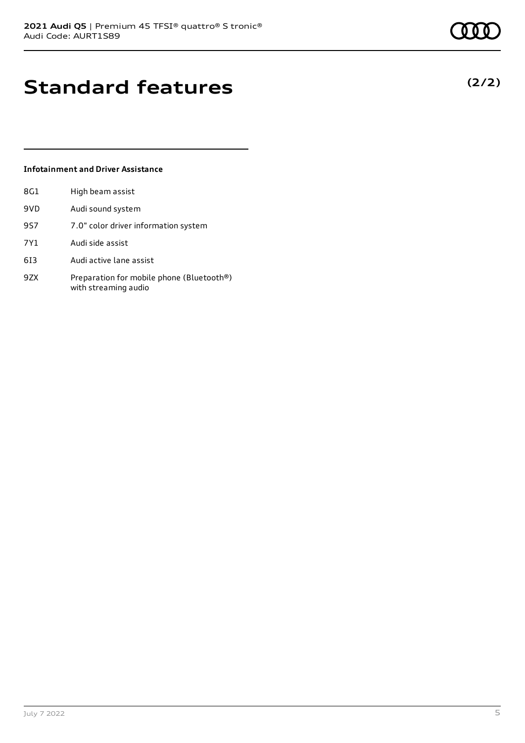## **Standard features**

### **Infotainment and Driver Assistance**

| 8G1 | High beam assist                                                  |
|-----|-------------------------------------------------------------------|
| 9VD | Audi sound system                                                 |
| 9S7 | 7.0" color driver information system                              |
| 7Y1 | Audi side assist                                                  |
| 613 | Audi active lane assist                                           |
| 9ZX | Preparation for mobile phone (Bluetooth®)<br>with streaming audio |



**(2/2)**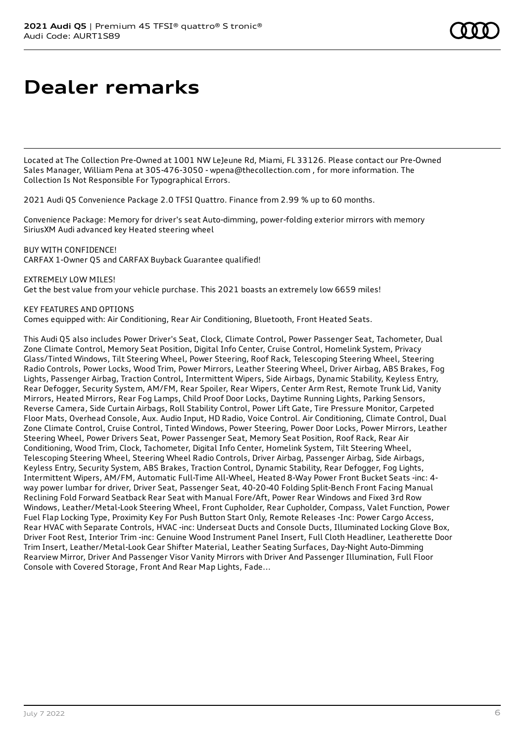## **Dealer remarks**

Located at The Collection Pre-Owned at 1001 NW LeJeune Rd, Miami, FL 33126. Please contact our Pre-Owned Sales Manager, William Pena at 305-476-3050 - wpena@thecollection.com , for more information. The Collection Is Not Responsible For Typographical Errors.

2021 Audi Q5 Convenience Package 2.0 TFSI Quattro. Finance from 2.99 % up to 60 months.

Convenience Package: Memory for driver's seat Auto-dimming, power-folding exterior mirrors with memory SiriusXM Audi advanced key Heated steering wheel

BUY WITH CONFIDENCE! CARFAX 1-Owner Q5 and CARFAX Buyback Guarantee qualified!

EXTREMELY LOW MILES! Get the best value from your vehicle purchase. This 2021 boasts an extremely low 6659 miles!

KEY FEATURES AND OPTIONS

Comes equipped with: Air Conditioning, Rear Air Conditioning, Bluetooth, Front Heated Seats.

This Audi Q5 also includes Power Driver's Seat, Clock, Climate Control, Power Passenger Seat, Tachometer, Dual Zone Climate Control, Memory Seat Position, Digital Info Center, Cruise Control, Homelink System, Privacy Glass/Tinted Windows, Tilt Steering Wheel, Power Steering, Roof Rack, Telescoping Steering Wheel, Steering Radio Controls, Power Locks, Wood Trim, Power Mirrors, Leather Steering Wheel, Driver Airbag, ABS Brakes, Fog Lights, Passenger Airbag, Traction Control, Intermittent Wipers, Side Airbags, Dynamic Stability, Keyless Entry, Rear Defogger, Security System, AM/FM, Rear Spoiler, Rear Wipers, Center Arm Rest, Remote Trunk Lid, Vanity Mirrors, Heated Mirrors, Rear Fog Lamps, Child Proof Door Locks, Daytime Running Lights, Parking Sensors, Reverse Camera, Side Curtain Airbags, Roll Stability Control, Power Lift Gate, Tire Pressure Monitor, Carpeted Floor Mats, Overhead Console, Aux. Audio Input, HD Radio, Voice Control. Air Conditioning, Climate Control, Dual Zone Climate Control, Cruise Control, Tinted Windows, Power Steering, Power Door Locks, Power Mirrors, Leather Steering Wheel, Power Drivers Seat, Power Passenger Seat, Memory Seat Position, Roof Rack, Rear Air Conditioning, Wood Trim, Clock, Tachometer, Digital Info Center, Homelink System, Tilt Steering Wheel, Telescoping Steering Wheel, Steering Wheel Radio Controls, Driver Airbag, Passenger Airbag, Side Airbags, Keyless Entry, Security System, ABS Brakes, Traction Control, Dynamic Stability, Rear Defogger, Fog Lights, Intermittent Wipers, AM/FM, Automatic Full-Time All-Wheel, Heated 8-Way Power Front Bucket Seats -inc: 4 way power lumbar for driver, Driver Seat, Passenger Seat, 40-20-40 Folding Split-Bench Front Facing Manual Reclining Fold Forward Seatback Rear Seat with Manual Fore/Aft, Power Rear Windows and Fixed 3rd Row Windows, Leather/Metal-Look Steering Wheel, Front Cupholder, Rear Cupholder, Compass, Valet Function, Power Fuel Flap Locking Type, Proximity Key For Push Button Start Only, Remote Releases -Inc: Power Cargo Access, Rear HVAC with Separate Controls, HVAC -inc: Underseat Ducts and Console Ducts, Illuminated Locking Glove Box, Driver Foot Rest, Interior Trim -inc: Genuine Wood Instrument Panel Insert, Full Cloth Headliner, Leatherette Door Trim Insert, Leather/Metal-Look Gear Shifter Material, Leather Seating Surfaces, Day-Night Auto-Dimming Rearview Mirror, Driver And Passenger Visor Vanity Mirrors with Driver And Passenger Illumination, Full Floor Console with Covered Storage, Front And Rear Map Lights, Fade...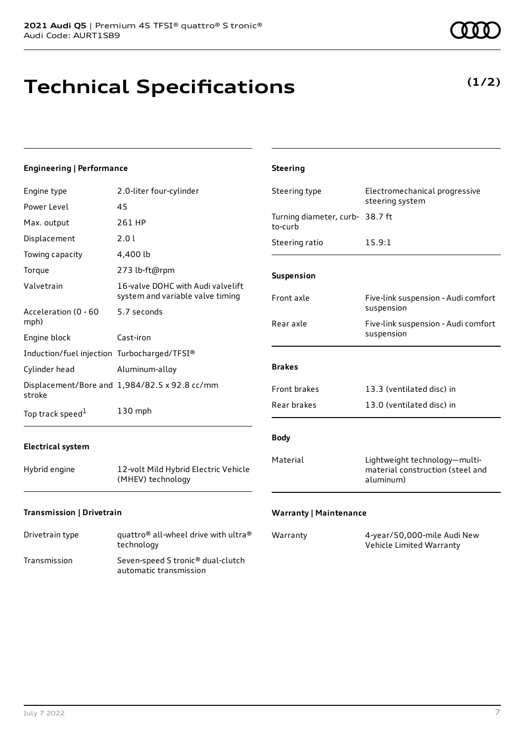## **Technical Specifications**

**(1/2)**

| <b>Engineering   Performance</b>                             |                                                           | <b>Steering</b>                            |                                                                                |
|--------------------------------------------------------------|-----------------------------------------------------------|--------------------------------------------|--------------------------------------------------------------------------------|
| Engine type<br>Power Level                                   | 2.0-liter four-cylinder<br>45                             | Steering type                              | Electromechanical progressive<br>steering system                               |
| Max. output                                                  | 261 HP                                                    | Turning diameter, curb- 38.7 ft<br>to-curb |                                                                                |
| Displacement<br>Towing capacity                              | 2.0 l<br>4,400 lb                                         | Steering ratio                             | 15.9:1                                                                         |
| Torque<br>Valvetrain                                         | 273 lb-ft@rpm<br>16-valve DOHC with Audi valvelift        | Suspension                                 |                                                                                |
| Acceleration (0 - 60                                         | system and variable valve timing<br>5.7 seconds           | Front axle                                 | Five-link suspension - Audi comfort<br>suspension                              |
| mph)<br>Engine block                                         | Cast-iron                                                 | Rear axle                                  | Five-link suspension - Audi comfort<br>suspension                              |
| Induction/fuel injection Turbocharged/TFSI®<br>Cylinder head | Aluminum-alloy                                            | <b>Brakes</b>                              |                                                                                |
| stroke                                                       | Displacement/Bore and 1,984/82.5 x 92.8 cc/mm             | Front brakes                               | 13.3 (ventilated disc) in                                                      |
| Top track speed $^1$                                         | 130 mph                                                   | Rear brakes                                | 13.0 (ventilated disc) in                                                      |
| <b>Electrical system</b>                                     |                                                           | <b>Body</b>                                |                                                                                |
| Hybrid engine                                                | 12-volt Mild Hybrid Electric Vehicle<br>(MHEV) technology | Material                                   | Lightweight technology-multi-<br>material construction (steel and<br>aluminum) |
| Transmission   Drivetrain                                    |                                                           | <b>Warranty   Maintenance</b>              |                                                                                |

| Drivetrain type | quattro <sup>®</sup> all-wheel drive with ultra <sup>®</sup><br>technology |
|-----------------|----------------------------------------------------------------------------|
| Transmission    | Seven-speed S tronic <sup>®</sup> dual-clutch<br>automatic transmission    |

| Warranty | 4-year/50,000-mile Audi New |
|----------|-----------------------------|
|          | Vehicle Limited Warranty    |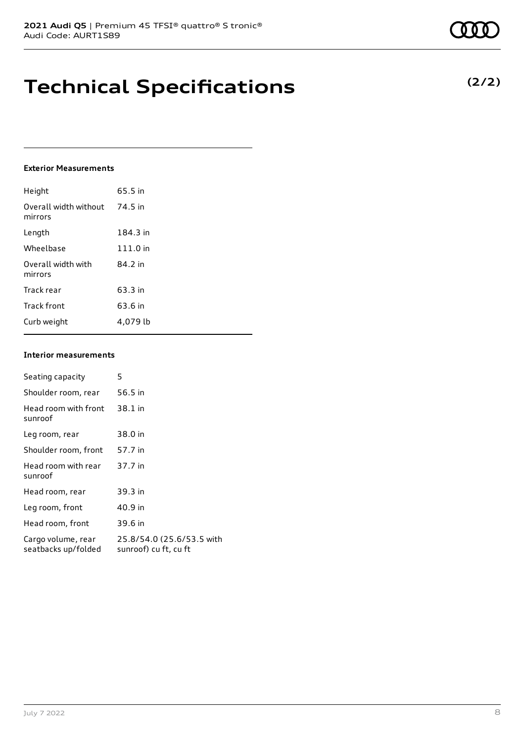## **Technical Specifications**

### **Exterior Measurements**

| Height                           | 65.5 in  |
|----------------------------------|----------|
| Overall width without<br>mirrors | 74.5 in  |
| Length                           | 184.3 in |
| Wheelbase                        | 111.0 in |
| Overall width with<br>mirrors    | 84.2 in  |
| Track rear                       | 63.3 in  |
| Track front                      | 63.6 in  |
| Curb weight                      | 4.079 lb |

### **Interior measurements**

| Seating capacity                          | 5                                                  |
|-------------------------------------------|----------------------------------------------------|
| Shoulder room, rear                       | 56.5 in                                            |
| Head room with front<br>sunroof           | 38.1 in                                            |
| Leg room, rear                            | 38.0 in                                            |
| Shoulder room, front                      | 57.7 in                                            |
| Head room with rear<br>sunroof            | 37.7 in                                            |
| Head room, rear                           | 39.3 in                                            |
| Leg room, front                           | 40.9 in                                            |
| Head room, front                          | 39.6 in                                            |
| Cargo volume, rear<br>seatbacks up/folded | 25.8/54.0 (25.6/53.5 with<br>sunroof) cu ft, cu ft |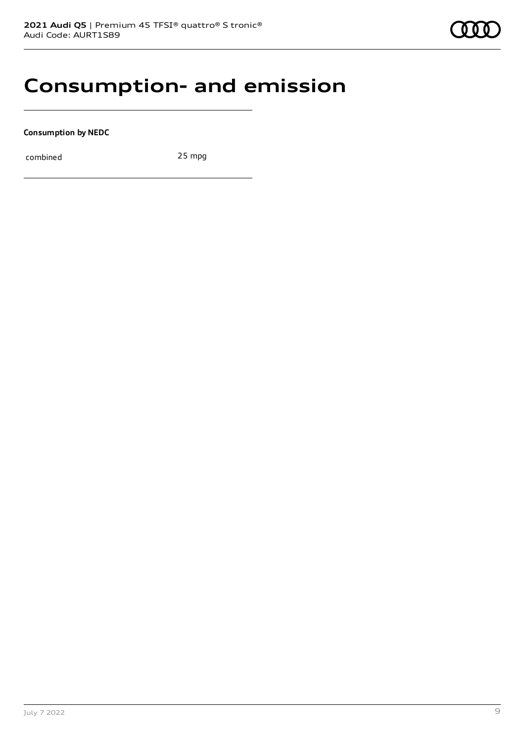## **Consumption- and emission**

**Consumption by NEDC**

combined 25 mpg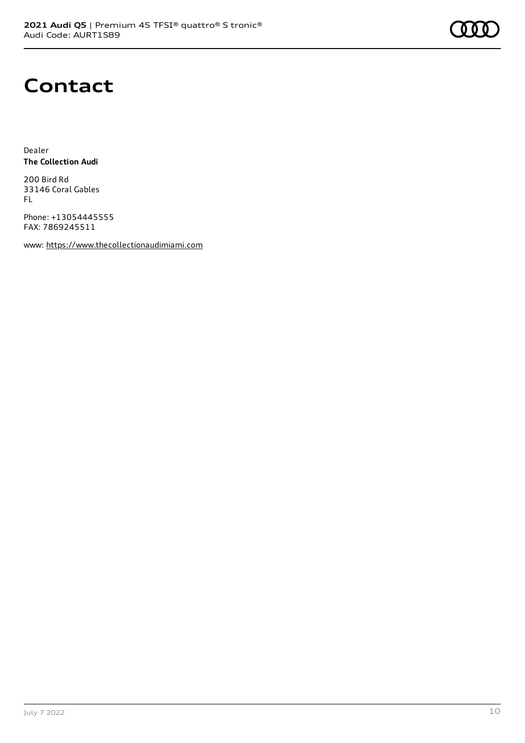

## **Contact**

Dealer **The Collection Audi**

200 Bird Rd 33146 Coral Gables FL

Phone: +13054445555 FAX: 7869245511

www: [https://www.thecollectionaudimiami.com](https://www.thecollectionaudimiami.com/)